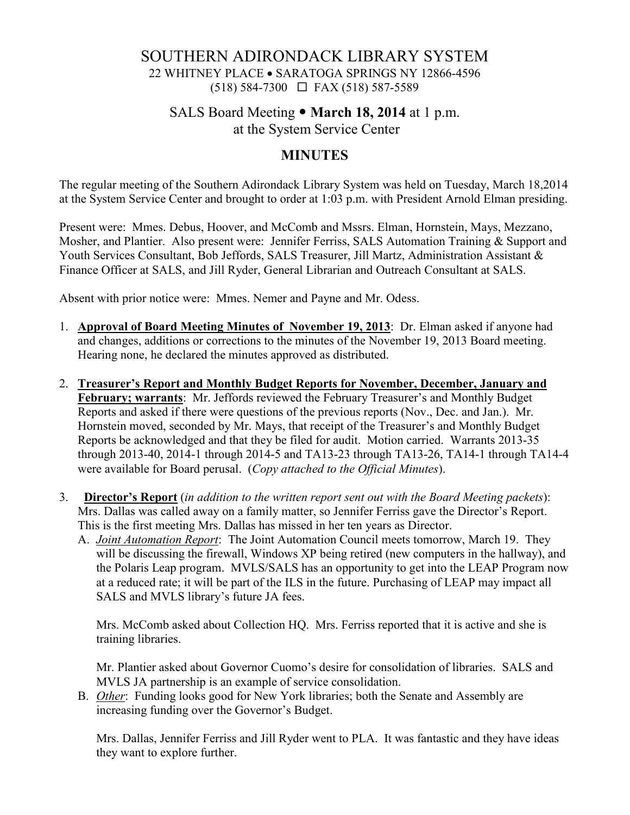### SOUTHERN ADIRONDACK LIBRARY SYSTEM 22 WHITNEY PLACE • SARATOGA SPRINGS NY 12866-4596 (518) 584-7300 FAX (518) 587-5589

### SALS Board Meeting • **March 18, 2014** at 1 p.m. at the System Service Center

#### **MINUTES**

The regular meeting of the Southern Adirondack Library System was held on Tuesday, March 18,2014 at the System Service Center and brought to order at 1:03 p.m. with President Arnold Elman presiding.

Present were: Mmes. Debus, Hoover, and McComb and Mssrs. Elman, Hornstein, Mays, Mezzano, Mosher, and Plantier. Also present were: Jennifer Ferriss, SALS Automation Training & Support and Youth Services Consultant, Bob Jeffords, SALS Treasurer, Jill Martz, Administration Assistant & Finance Officer at SALS, and Jill Ryder, General Librarian and Outreach Consultant at SALS.

Absent with prior notice were: Mmes. Nemer and Payne and Mr. Odess.

- 1. **Approval of Board Meeting Minutes of November 19, 2013**: Dr. Elman asked if anyone had and changes, additions or corrections to the minutes of the November 19, 2013 Board meeting. Hearing none, he declared the minutes approved as distributed.
- 2. **Treasurer's Report and Monthly Budget Reports for November, December, January and February; warrants**: Mr. Jeffords reviewed the February Treasurer's and Monthly Budget Reports and asked if there were questions of the previous reports (Nov., Dec. and Jan.). Mr. Hornstein moved, seconded by Mr. Mays, that receipt of the Treasurer's and Monthly Budget Reports be acknowledged and that they be filed for audit. Motion carried. Warrants 2013-35 through 2013-40, 2014-1 through 2014-5 and TA13-23 through TA13-26, TA14-1 through TA14-4 were available for Board perusal. (*Copy attached to the Official Minutes*).
- 3. **Director's Report** (*in addition to the written report sent out with the Board Meeting packets*): Mrs. Dallas was called away on a family matter, so Jennifer Ferriss gave the Director's Report. This is the first meeting Mrs. Dallas has missed in her ten years as Director.
	- A. *Joint Automation Report*: The Joint Automation Council meets tomorrow, March 19. They will be discussing the firewall, Windows XP being retired (new computers in the hallway), and the Polaris Leap program. MVLS/SALS has an opportunity to get into the LEAP Program now at a reduced rate; it will be part of the ILS in the future. Purchasing of LEAP may impact all SALS and MVLS library's future JA fees.

Mrs. McComb asked about Collection HQ. Mrs. Ferriss reported that it is active and she is training libraries.

Mr. Plantier asked about Governor Cuomo's desire for consolidation of libraries. SALS and MVLS JA partnership is an example of service consolidation.

B. *Other*: Funding looks good for New York libraries; both the Senate and Assembly are increasing funding over the Governor's Budget.

Mrs. Dallas, Jennifer Ferriss and Jill Ryder went to PLA. It was fantastic and they have ideas they want to explore further.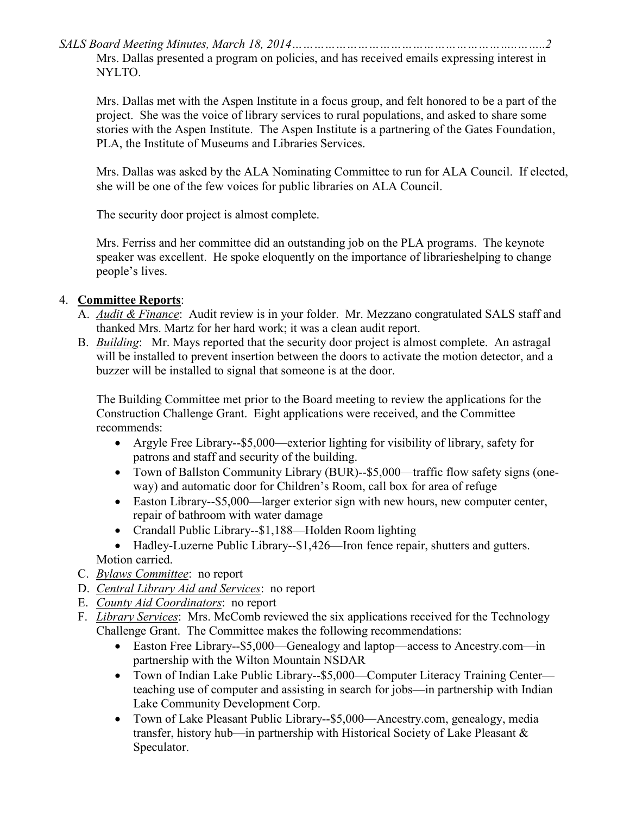*SALS Board Meeting Minutes, March 18, 2014……………………………………………………..……..2* 

Mrs. Dallas presented a program on policies, and has received emails expressing interest in NYLTO.

Mrs. Dallas met with the Aspen Institute in a focus group, and felt honored to be a part of the project. She was the voice of library services to rural populations, and asked to share some stories with the Aspen Institute. The Aspen Institute is a partnering of the Gates Foundation, PLA, the Institute of Museums and Libraries Services.

Mrs. Dallas was asked by the ALA Nominating Committee to run for ALA Council. If elected, she will be one of the few voices for public libraries on ALA Council.

The security door project is almost complete.

Mrs. Ferriss and her committee did an outstanding job on the PLA programs. The keynote speaker was excellent. He spoke eloquently on the importance of librarieshelping to change people's lives.

# 4. **Committee Reports**:

- A. *Audit & Finance*: Audit review is in your folder. Mr. Mezzano congratulated SALS staff and thanked Mrs. Martz for her hard work; it was a clean audit report.
- B. *Building*: Mr. Mays reported that the security door project is almost complete. An astragal will be installed to prevent insertion between the doors to activate the motion detector, and a buzzer will be installed to signal that someone is at the door.

The Building Committee met prior to the Board meeting to review the applications for the Construction Challenge Grant. Eight applications were received, and the Committee recommends:

- Argyle Free Library--\$5,000—exterior lighting for visibility of library, safety for patrons and staff and security of the building.
- Town of Ballston Community Library (BUR)--\$5,000—traffic flow safety signs (oneway) and automatic door for Children's Room, call box for area of refuge
- Easton Library--\$5,000—larger exterior sign with new hours, new computer center, repair of bathroom with water damage
- Crandall Public Library--\$1,188—Holden Room lighting
- Hadley-Luzerne Public Library--\$1,426—Iron fence repair, shutters and gutters. Motion carried.
- C. *Bylaws Committee*: no report
- D. *Central Library Aid and Services*: no report
- E. *County Aid Coordinators*: no report
- F. *Library Services*: Mrs. McComb reviewed the six applications received for the Technology Challenge Grant. The Committee makes the following recommendations:
	- Easton Free Library--\$5,000—Genealogy and laptop—access to Ancestry.com—in partnership with the Wilton Mountain NSDAR
	- Town of Indian Lake Public Library--\$5,000—Computer Literacy Training Center teaching use of computer and assisting in search for jobs—in partnership with Indian Lake Community Development Corp.
	- Town of Lake Pleasant Public Library--\$5,000—Ancestry.com, genealogy, media transfer, history hub—in partnership with Historical Society of Lake Pleasant & Speculator.